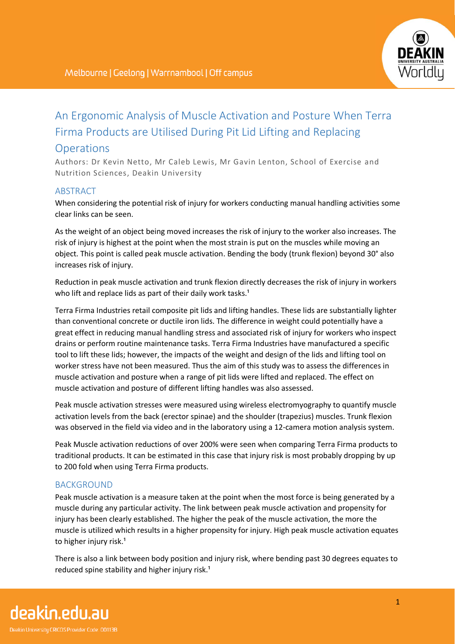

# An Ergonomic Analysis of Muscle Activation and Posture When Terra Firma Products are Utilised During Pit Lid Lifting and Replacing

# **Operations**

Authors: Dr Kevin Netto, Mr Caleb Lewis, Mr Gavin Lenton, School of Exercise and Nutrition Sciences, Deakin University

## ABSTRACT

When considering the potential risk of injury for workers conducting manual handling activities some clear links can be seen.

As the weight of an object being moved increases the risk of injury to the worker also increases. The risk of injury is highest at the point when the most strain is put on the muscles while moving an object. This point is called peak muscle activation. Bending the body (trunk flexion) beyond 30° also increases risk of injury.

Reduction in peak muscle activation and trunk flexion directly decreases the risk of injury in workers who lift and replace lids as part of their daily work tasks.<sup>1</sup>

Terra Firma Industries retail composite pit lids and lifting handles. These lids are substantially lighter than conventional concrete or ductile iron lids. The difference in weight could potentially have a great effect in reducing manual handling stress and associated risk of injury for workers who inspect drains or perform routine maintenance tasks. Terra Firma Industries have manufactured a specific tool to lift these lids; however, the impacts of the weight and design of the lids and lifting tool on worker stress have not been measured. Thus the aim of this study was to assess the differences in muscle activation and posture when a range of pit lids were lifted and replaced. The effect on muscle activation and posture of different lifting handles was also assessed.

Peak muscle activation stresses were measured using wireless electromyography to quantify muscle activation levels from the back (erector spinae) and the shoulder (trapezius) muscles. Trunk flexion was observed in the field via video and in the laboratory using a 12-camera motion analysis system.

Peak Muscle activation reductions of over 200% were seen when comparing Terra Firma products to traditional products. It can be estimated in this case that injury risk is most probably dropping by up to 200 fold when using Terra Firma products.

# BACKGROUND

Peak muscle activation is a measure taken at the point when the most force is being generated by a muscle during any particular activity. The link between peak muscle activation and propensity for injury has been clearly established. The higher the peak of the muscle activation, the more the muscle is utilized which results in a higher propensity for injury. High peak muscle activation equates to higher injury risk.<sup>1</sup>

There is also a link between body position and injury risk, where bending past 30 degrees equates to reduced spine stability and higher injury risk.<sup>1</sup>

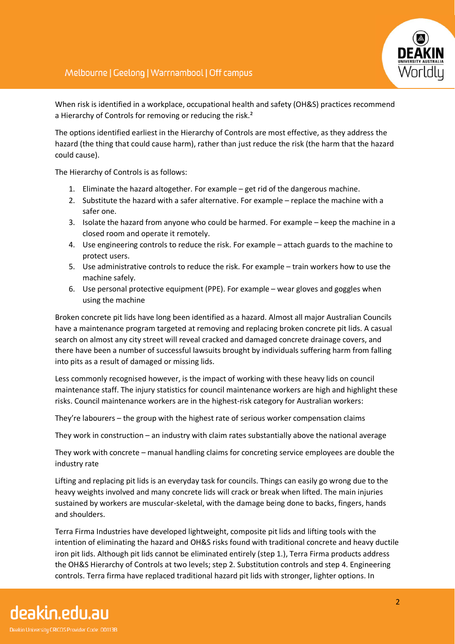

When risk is identified in a workplace, occupational health and safety (OH&S) practices recommend a Hierarchy of Controls for removing or reducing the risk.<sup>2</sup>

The options identified earliest in the Hierarchy of Controls are most effective, as they address the hazard (the thing that could cause harm), rather than just reduce the risk (the harm that the hazard could cause).

The Hierarchy of Controls is as follows:

- 1. Eliminate the hazard altogether. For example get rid of the dangerous machine.
- 2. Substitute the hazard with a safer alternative. For example replace the machine with a safer one.
- 3. Isolate the hazard from anyone who could be harmed. For example keep the machine in a closed room and operate it remotely.
- 4. Use engineering controls to reduce the risk. For example attach guards to the machine to protect users.
- 5. Use administrative controls to reduce the risk. For example train workers how to use the machine safely.
- 6. Use personal protective equipment (PPE). For example wear gloves and goggles when using the machine

Broken concrete pit lids have long been identified as a hazard. Almost all major Australian Councils have a maintenance program targeted at removing and replacing broken concrete pit lids. A casual search on almost any city street will reveal cracked and damaged concrete drainage covers, and there have been a number of successful lawsuits brought by individuals suffering harm from falling into pits as a result of damaged or missing lids.

Less commonly recognised however, is the impact of working with these heavy lids on council maintenance staff. The injury statistics for council maintenance workers are high and highlight these risks. Council maintenance workers are in the highest-risk category for Australian workers:

They're labourers – the group with the highest rate of serious worker compensation claims

They work in construction – an industry with claim rates substantially above the national average

They work with concrete – manual handling claims for concreting service employees are double the industry rate

Lifting and replacing pit lids is an everyday task for councils. Things can easily go wrong due to the heavy weights involved and many concrete lids will crack or break when lifted. The main injuries sustained by workers are muscular-skeletal, with the damage being done to backs, fingers, hands and shoulders.

Terra Firma Industries have developed lightweight, composite pit lids and lifting tools with the intention of eliminating the hazard and OH&S risks found with traditional concrete and heavy ductile iron pit lids. Although pit lids cannot be eliminated entirely (step 1.), Terra Firma products address the OH&S Hierarchy of Controls at two levels; step 2. Substitution controls and step 4. Engineering controls. Terra firma have replaced traditional hazard pit lids with stronger, lighter options. In

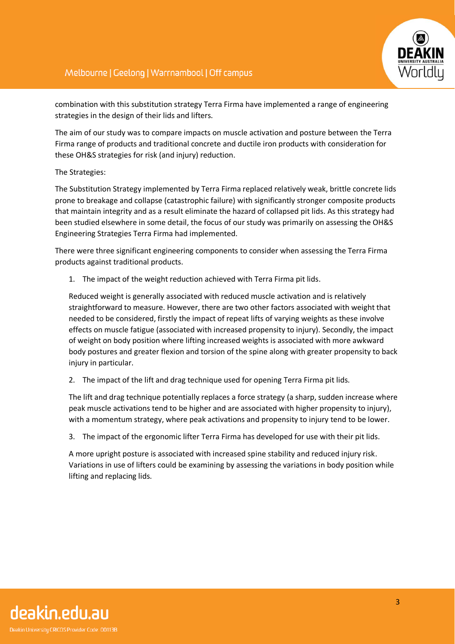

combination with this substitution strategy Terra Firma have implemented a range of engineering strategies in the design of their lids and lifters.

The aim of our study was to compare impacts on muscle activation and posture between the Terra Firma range of products and traditional concrete and ductile iron products with consideration for these OH&S strategies for risk (and injury) reduction.

#### The Strategies:

The Substitution Strategy implemented by Terra Firma replaced relatively weak, brittle concrete lids prone to breakage and collapse (catastrophic failure) with significantly stronger composite products that maintain integrity and as a result eliminate the hazard of collapsed pit lids. As this strategy had been studied elsewhere in some detail, the focus of our study was primarily on assessing the OH&S Engineering Strategies Terra Firma had implemented.

There were three significant engineering components to consider when assessing the Terra Firma products against traditional products.

1. The impact of the weight reduction achieved with Terra Firma pit lids.

Reduced weight is generally associated with reduced muscle activation and is relatively straightforward to measure. However, there are two other factors associated with weight that needed to be considered, firstly the impact of repeat lifts of varying weights as these involve effects on muscle fatigue (associated with increased propensity to injury). Secondly, the impact of weight on body position where lifting increased weights is associated with more awkward body postures and greater flexion and torsion of the spine along with greater propensity to back injury in particular.

2. The impact of the lift and drag technique used for opening Terra Firma pit lids.

The lift and drag technique potentially replaces a force strategy (a sharp, sudden increase where peak muscle activations tend to be higher and are associated with higher propensity to injury), with a momentum strategy, where peak activations and propensity to injury tend to be lower.

3. The impact of the ergonomic lifter Terra Firma has developed for use with their pit lids.

A more upright posture is associated with increased spine stability and reduced injury risk. Variations in use of lifters could be examining by assessing the variations in body position while lifting and replacing lids.

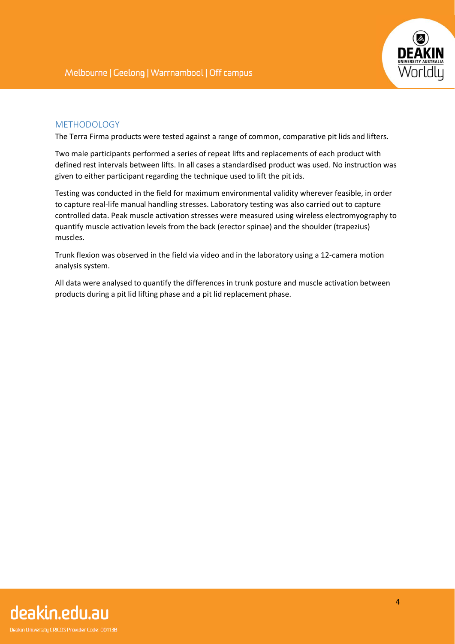

## METHODOLOGY

The Terra Firma products were tested against a range of common, comparative pit lids and lifters.

Two male participants performed a series of repeat lifts and replacements of each product with defined rest intervals between lifts. In all cases a standardised product was used. No instruction was given to either participant regarding the technique used to lift the pit ids.

Testing was conducted in the field for maximum environmental validity wherever feasible, in order to capture real-life manual handling stresses. Laboratory testing was also carried out to capture controlled data. Peak muscle activation stresses were measured using wireless electromyography to quantify muscle activation levels from the back (erector spinae) and the shoulder (trapezius) muscles.

Trunk flexion was observed in the field via video and in the laboratory using a 12-camera motion analysis system.

All data were analysed to quantify the differences in trunk posture and muscle activation between products during a pit lid lifting phase and a pit lid replacement phase.

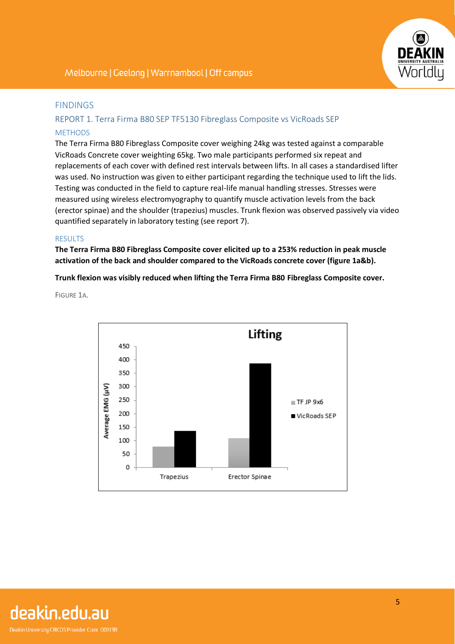

#### FINDINGS

## REPORT 1. Terra Firma B80 SEP TF5130 Fibreglass Composite vs VicRoads SEP **METHODS**

The Terra Firma B80 Fibreglass Composite cover weighing 24kg was tested against a comparable VicRoads Concrete cover weighting 65kg. Two male participants performed six repeat and replacements of each cover with defined rest intervals between lifts. In all cases a standardised lifter was used. No instruction was given to either participant regarding the technique used to lift the lids. Testing was conducted in the field to capture real-life manual handling stresses. Stresses were measured using wireless electromyography to quantify muscle activation levels from the back (erector spinae) and the shoulder (trapezius) muscles. Trunk flexion was observed passively via video quantified separately in laboratory testing (see report 7).

#### RESULTS

**The Terra Firma B80 Fibreglass Composite cover elicited up to a 253% reduction in peak muscle activation of the back and shoulder compared to the VicRoads concrete cover (figure 1a&b).**

**Trunk flexion was visibly reduced when lifting the Terra Firma B80 Fibreglass Composite cover.**

FIGURE 1A.



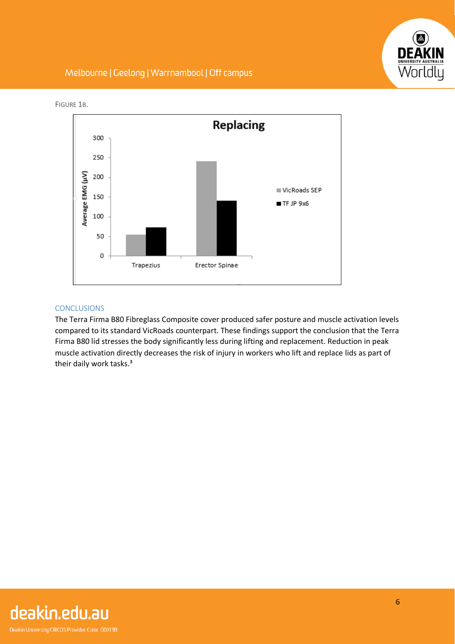



FIGURE 1B.

#### CONCLUSIONS

The Terra Firma B80 Fibreglass Composite cover produced safer posture and muscle activation levels compared to its standard VicRoads counterpart. These findings support the conclusion that the Terra Firma B80 lid stresses the body significantly less during lifting and replacement. Reduction in peak muscle activation directly decreases the risk of injury in workers who lift and replace lids as part of their daily work tasks.<sup>3</sup>

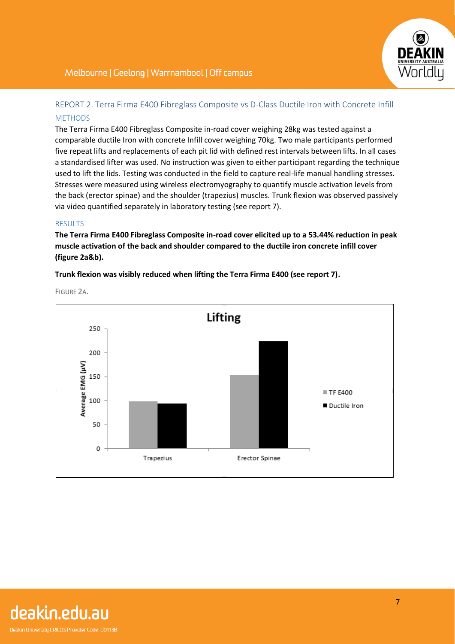

# REPORT 2. Terra Firma E400 Fibreglass Composite vs D-Class Ductile Iron with Concrete Infill **MFTHODS**

The Terra Firma E400 Fibreglass Composite in-road cover weighing 28kg was tested against a comparable ductile Iron with concrete Infill cover weighing 70kg. Two male participants performed five repeat lifts and replacements of each pit lid with defined rest intervals between lifts. In all cases a standardised lifter was used. No instruction was given to either participant regarding the technique used to lift the lids. Testing was conducted in the field to capture real-life manual handling stresses. Stresses were measured using wireless electromyography to quantify muscle activation levels from the back (erector spinae) and the shoulder (trapezius) muscles. Trunk flexion was observed passively via video quantified separately in laboratory testing (see report 7).

#### RESULTS

**The Terra Firma E400 Fibreglass Composite in-road cover elicited up to a 53.44% reduction in peak muscle activation of the back and shoulder compared to the ductile iron concrete infill cover (figure 2a&b).**

**Trunk flexion was visibly reduced when lifting the Terra Firma E400 (see report 7).**



FIGURE 2A.

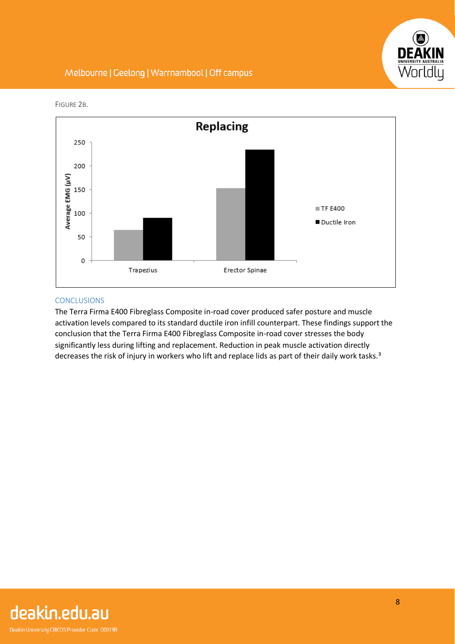



FIGURE 2B.

## CONCLUSIONS

The Terra Firma E400 Fibreglass Composite in-road cover produced safer posture and muscle activation levels compared to its standard ductile iron infill counterpart. These findings support the conclusion that the Terra Firma E400 Fibreglass Composite in-road cover stresses the body significantly less during lifting and replacement. Reduction in peak muscle activation directly decreases the risk of injury in workers who lift and replace lids as part of their daily work tasks.<sup>3</sup>

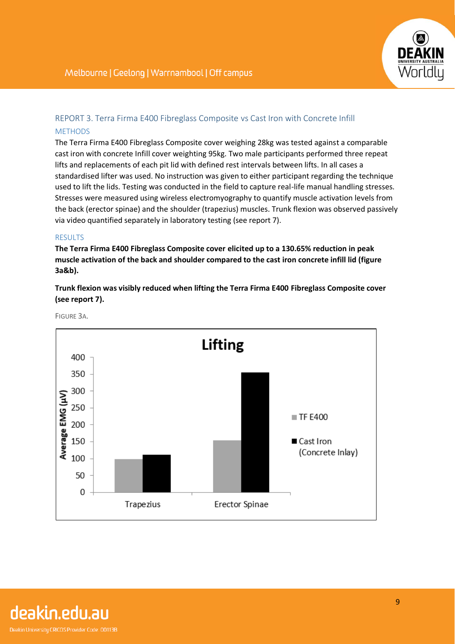

# REPORT 3. Terra Firma E400 Fibreglass Composite vs Cast Iron with Concrete Infill **METHODS**

The Terra Firma E400 Fibreglass Composite cover weighing 28kg was tested against a comparable cast iron with concrete Infill cover weighting 95kg. Two male participants performed three repeat lifts and replacements of each pit lid with defined rest intervals between lifts. In all cases a standardised lifter was used. No instruction was given to either participant regarding the technique used to lift the lids. Testing was conducted in the field to capture real-life manual handling stresses. Stresses were measured using wireless electromyography to quantify muscle activation levels from the back (erector spinae) and the shoulder (trapezius) muscles. Trunk flexion was observed passively via video quantified separately in laboratory testing (see report 7).

#### RESULTS

**The Terra Firma E400 Fibreglass Composite cover elicited up to a 130.65% reduction in peak muscle activation of the back and shoulder compared to the cast iron concrete infill lid (figure 3a&b).**

**Trunk flexion was visibly reduced when lifting the Terra Firma E400 Fibreglass Composite cover (see report 7).**



FIGURE 3A.

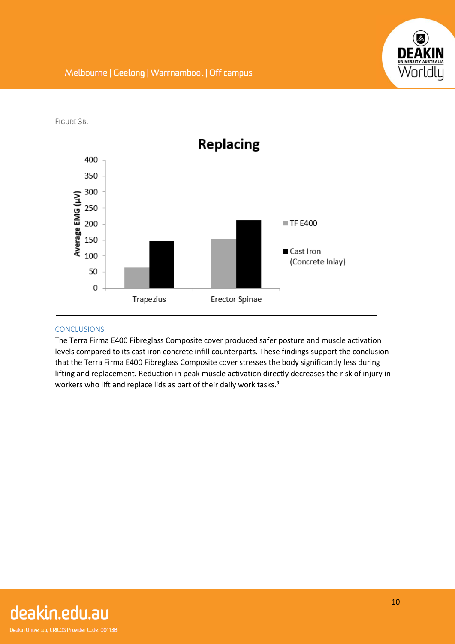

FIGURE 3B.



#### **CONCLUSIONS**

The Terra Firma E400 Fibreglass Composite cover produced safer posture and muscle activation levels compared to its cast iron concrete infill counterparts. These findings support the conclusion that the Terra Firma E400 Fibreglass Composite cover stresses the body significantly less during lifting and replacement. Reduction in peak muscle activation directly decreases the risk of injury in workers who lift and replace lids as part of their daily work tasks.<sup>3</sup>

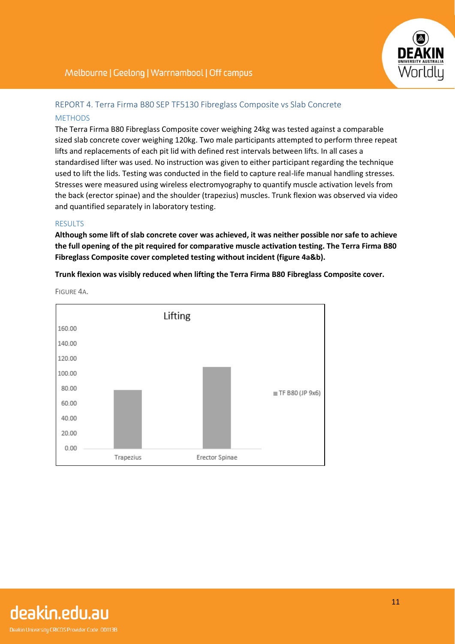

## REPORT 4. Terra Firma B80 SEP TF5130 Fibreglass Composite vs Slab Concrete **MFTHODS**

The Terra Firma B80 Fibreglass Composite cover weighing 24kg was tested against a comparable sized slab concrete cover weighing 120kg. Two male participants attempted to perform three repeat lifts and replacements of each pit lid with defined rest intervals between lifts. In all cases a standardised lifter was used. No instruction was given to either participant regarding the technique used to lift the lids. Testing was conducted in the field to capture real-life manual handling stresses. Stresses were measured using wireless electromyography to quantify muscle activation levels from the back (erector spinae) and the shoulder (trapezius) muscles. Trunk flexion was observed via video and quantified separately in laboratory testing.

#### **RESULTS**

**Although some lift of slab concrete cover was achieved, it was neither possible nor safe to achieve the full opening of the pit required for comparative muscle activation testing. The Terra Firma B80 Fibreglass Composite cover completed testing without incident (figure 4a&b).**

**Trunk flexion was visibly reduced when lifting the Terra Firma B80 Fibreglass Composite cover.**



FIGURE 4A.

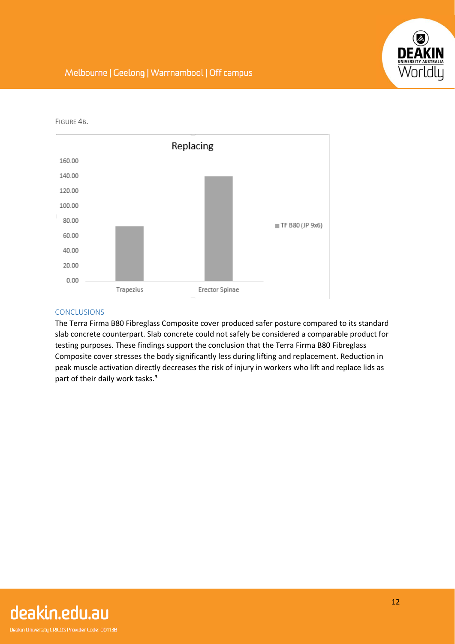

FIGURE 4B.



#### **CONCLUSIONS**

The Terra Firma B80 Fibreglass Composite cover produced safer posture compared to its standard slab concrete counterpart. Slab concrete could not safely be considered a comparable product for testing purposes. These findings support the conclusion that the Terra Firma B80 Fibreglass Composite cover stresses the body significantly less during lifting and replacement. Reduction in peak muscle activation directly decreases the risk of injury in workers who lift and replace lids as part of their daily work tasks.<sup>3</sup>

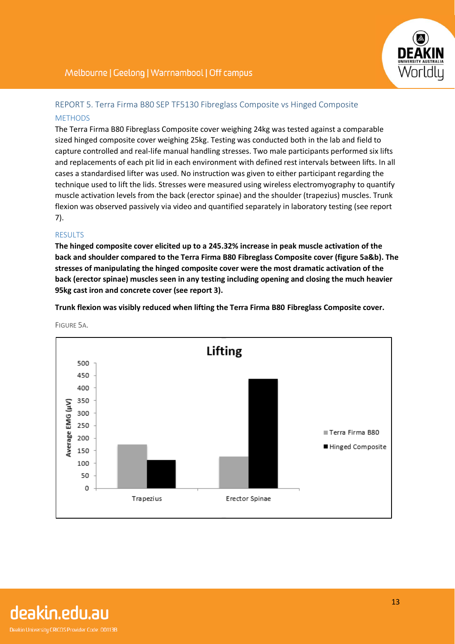# REPORT 5. Terra Firma B80 SEP TF5130 Fibreglass Composite vs Hinged Composite **MFTHODS**

The Terra Firma B80 Fibreglass Composite cover weighing 24kg was tested against a comparable sized hinged composite cover weighing 25kg. Testing was conducted both in the lab and field to capture controlled and real-life manual handling stresses. Two male participants performed six lifts and replacements of each pit lid in each environment with defined rest intervals between lifts. In all cases a standardised lifter was used. No instruction was given to either participant regarding the technique used to lift the lids. Stresses were measured using wireless electromyography to quantify muscle activation levels from the back (erector spinae) and the shoulder (trapezius) muscles. Trunk flexion was observed passively via video and quantified separately in laboratory testing (see report 7).

#### **RESULTS**

**The hinged composite cover elicited up to a 245.32% increase in peak muscle activation of the back and shoulder compared to the Terra Firma B80 Fibreglass Composite cover (figure 5a&b). The stresses of manipulating the hinged composite cover were the most dramatic activation of the back (erector spinae) muscles seen in any testing including opening and closing the much heavier 95kg cast iron and concrete cover (see report 3).**

**Trunk flexion was visibly reduced when lifting the Terra Firma B80 Fibreglass Composite cover.**



FIGURE 5A.

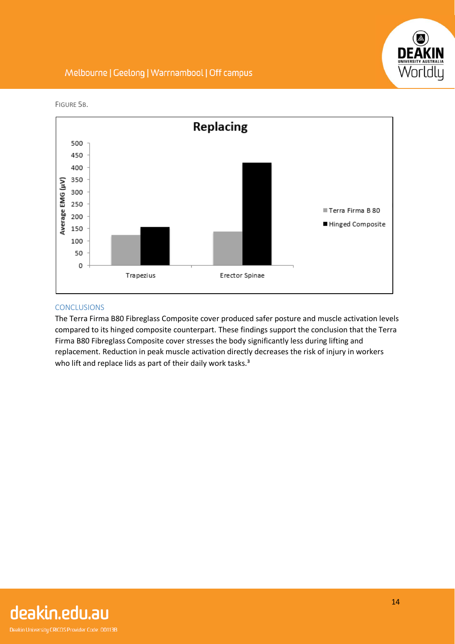



FIGURE 5B.

#### **CONCLUSIONS**

The Terra Firma B80 Fibreglass Composite cover produced safer posture and muscle activation levels compared to its hinged composite counterpart. These findings support the conclusion that the Terra Firma B80 Fibreglass Composite cover stresses the body significantly less during lifting and replacement. Reduction in peak muscle activation directly decreases the risk of injury in workers who lift and replace lids as part of their daily work tasks.<sup>3</sup>

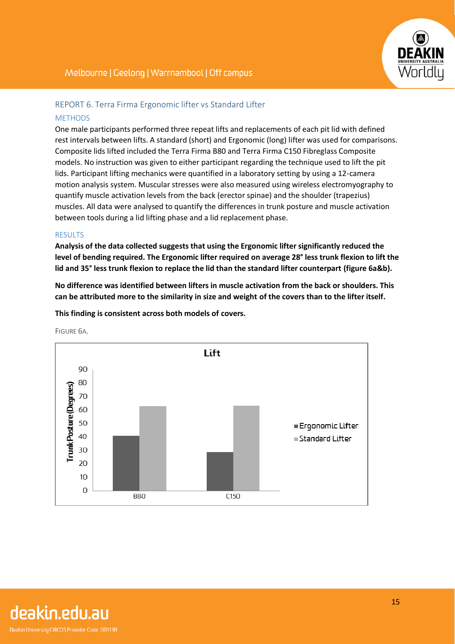## REPORT 6. Terra Firma Ergonomic lifter vs Standard Lifter **MFTHODS**

One male participants performed three repeat lifts and replacements of each pit lid with defined rest intervals between lifts. A standard (short) and Ergonomic (long) lifter was used for comparisons. Composite lids lifted included the Terra Firma B80 and Terra Firma C150 Fibreglass Composite models. No instruction was given to either participant regarding the technique used to lift the pit lids. Participant lifting mechanics were quantified in a laboratory setting by using a 12-camera motion analysis system. Muscular stresses were also measured using wireless electromyography to quantify muscle activation levels from the back (erector spinae) and the shoulder (trapezius) muscles. All data were analysed to quantify the differences in trunk posture and muscle activation between tools during a lid lifting phase and a lid replacement phase.

#### **RESULTS**

**Analysis of the data collected suggests that using the Ergonomic lifter significantly reduced the level of bending required. The Ergonomic lifter required on average 28° less trunk flexion to lift the lid and 35° less trunk flexion to replace the lid than the standard lifter counterpart (figure 6a&b).**

**No difference was identified between lifters in muscle activation from the back or shoulders. This can be attributed more to the similarity in size and weight of the covers than to the lifter itself.**

**This finding is consistent across both models of covers.**



FIGURE 6A.

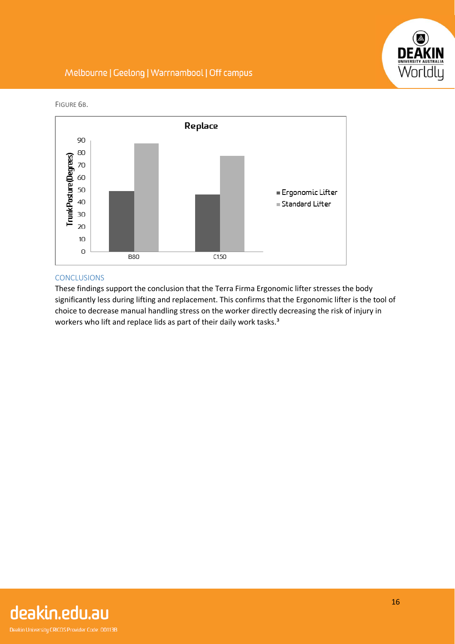



FIGURE 6B.

#### **CONCLUSIONS**

These findings support the conclusion that the Terra Firma Ergonomic lifter stresses the body significantly less during lifting and replacement. This confirms that the Ergonomic lifter is the tool of choice to decrease manual handling stress on the worker directly decreasing the risk of injury in workers who lift and replace lids as part of their daily work tasks.<sup>3</sup>

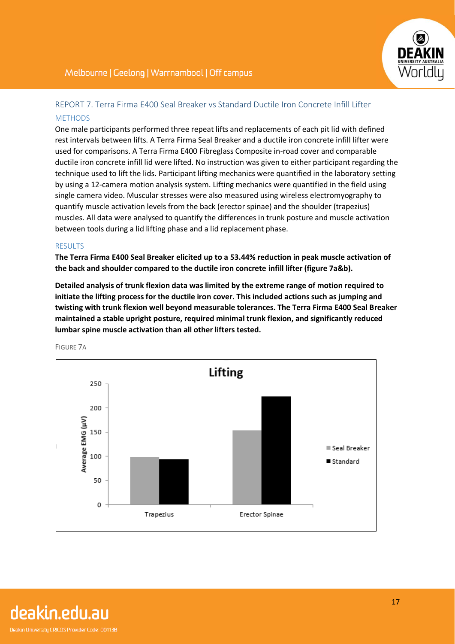

# REPORT 7. Terra Firma E400 Seal Breaker vs Standard Ductile Iron Concrete Infill Lifter **METHODS**

One male participants performed three repeat lifts and replacements of each pit lid with defined rest intervals between lifts. A Terra Firma Seal Breaker and a ductile iron concrete infill lifter were used for comparisons. A Terra Firma E400 Fibreglass Composite in-road cover and comparable ductile iron concrete infill lid were lifted. No instruction was given to either participant regarding the technique used to lift the lids. Participant lifting mechanics were quantified in the laboratory setting by using a 12-camera motion analysis system. Lifting mechanics were quantified in the field using single camera video. Muscular stresses were also measured using wireless electromyography to quantify muscle activation levels from the back (erector spinae) and the shoulder (trapezius) muscles. All data were analysed to quantify the differences in trunk posture and muscle activation between tools during a lid lifting phase and a lid replacement phase.

#### RESULTS

**The Terra Firma E400 Seal Breaker elicited up to a 53.44% reduction in peak muscle activation of the back and shoulder compared to the ductile iron concrete infill lifter (figure 7a&b).**

**Detailed analysis of trunk flexion data was limited by the extreme range of motion required to initiate the lifting process for the ductile iron cover. This included actions such as jumping and twisting with trunk flexion well beyond measurable tolerances. The Terra Firma E400 Seal Breaker maintained a stable upright posture, required minimal trunk flexion, and significantly reduced lumbar spine muscle activation than all other lifters tested.** 



FIGURE 7A

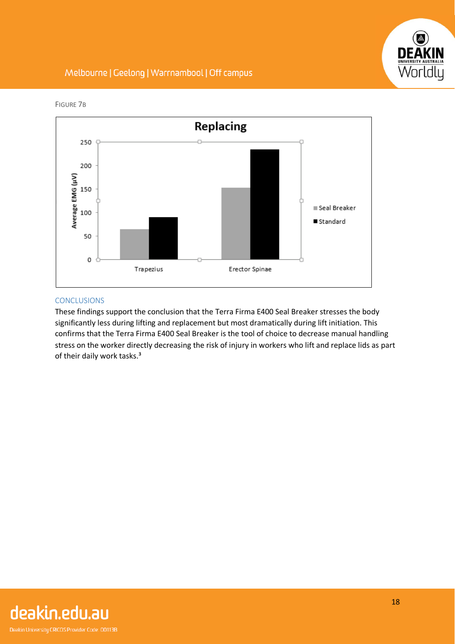



FIGURE 7B

## CONCLUSIONS

These findings support the conclusion that the Terra Firma E400 Seal Breaker stresses the body significantly less during lifting and replacement but most dramatically during lift initiation. This confirms that the Terra Firma E400 Seal Breaker is the tool of choice to decrease manual handling stress on the worker directly decreasing the risk of injury in workers who lift and replace lids as part of their daily work tasks.<sup>3</sup>

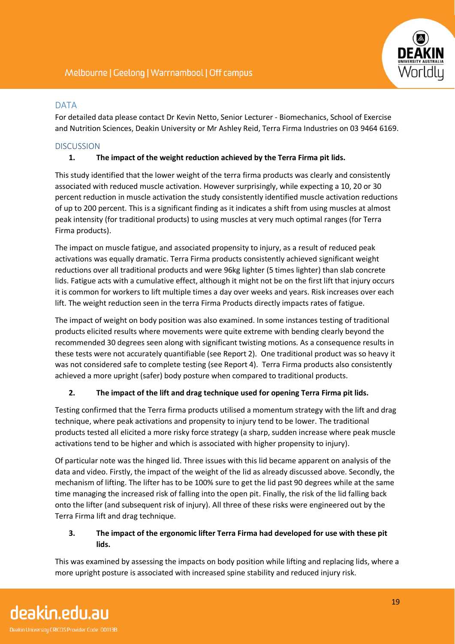

#### DATA

For detailed data please contact Dr Kevin Netto, Senior Lecturer - Biomechanics, School of Exercise and Nutrition Sciences, Deakin University or Mr Ashley Reid, Terra Firma Industries on 03 9464 6169.

#### **DISCUSSION**

#### **1. The impact of the weight reduction achieved by the Terra Firma pit lids.**

This study identified that the lower weight of the terra firma products was clearly and consistently associated with reduced muscle activation. However surprisingly, while expecting a 10, 20 or 30 percent reduction in muscle activation the study consistently identified muscle activation reductions of up to 200 percent. This is a significant finding as it indicates a shift from using muscles at almost peak intensity (for traditional products) to using muscles at very much optimal ranges (for Terra Firma products).

The impact on muscle fatigue, and associated propensity to injury, as a result of reduced peak activations was equally dramatic. Terra Firma products consistently achieved significant weight reductions over all traditional products and were 96kg lighter (5 times lighter) than slab concrete lids. Fatigue acts with a cumulative effect, although it might not be on the first lift that injury occurs it is common for workers to lift multiple times a day over weeks and years. Risk increases over each lift. The weight reduction seen in the terra Firma Products directly impacts rates of fatigue.

The impact of weight on body position was also examined. In some instances testing of traditional products elicited results where movements were quite extreme with bending clearly beyond the recommended 30 degrees seen along with significant twisting motions. As a consequence results in these tests were not accurately quantifiable (see Report 2). One traditional product was so heavy it was not considered safe to complete testing (see Report 4). Terra Firma products also consistently achieved a more upright (safer) body posture when compared to traditional products.

## **2. The impact of the lift and drag technique used for opening Terra Firma pit lids.**

Testing confirmed that the Terra firma products utilised a momentum strategy with the lift and drag technique, where peak activations and propensity to injury tend to be lower. The traditional products tested all elicited a more risky force strategy (a sharp, sudden increase where peak muscle activations tend to be higher and which is associated with higher propensity to injury).

Of particular note was the hinged lid. Three issues with this lid became apparent on analysis of the data and video. Firstly, the impact of the weight of the lid as already discussed above. Secondly, the mechanism of lifting. The lifter has to be 100% sure to get the lid past 90 degrees while at the same time managing the increased risk of falling into the open pit. Finally, the risk of the lid falling back onto the lifter (and subsequent risk of injury). All three of these risks were engineered out by the Terra Firma lift and drag technique.

#### **3. The impact of the ergonomic lifter Terra Firma had developed for use with these pit lids.**

This was examined by assessing the impacts on body position while lifting and replacing lids, where a more upright posture is associated with increased spine stability and reduced injury risk.

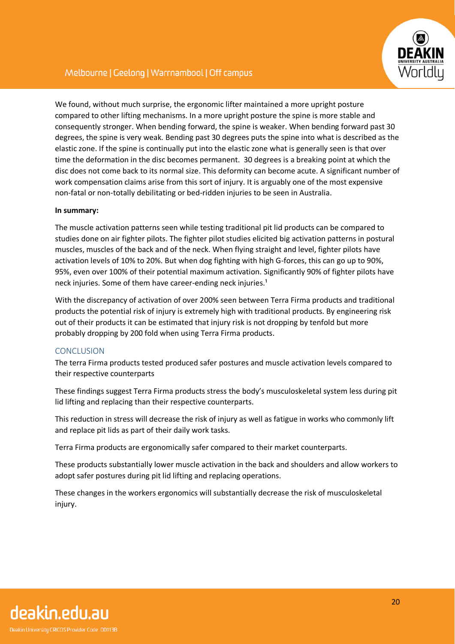

We found, without much surprise, the ergonomic lifter maintained a more upright posture compared to other lifting mechanisms. In a more upright posture the spine is more stable and consequently stronger. When bending forward, the spine is weaker. When bending forward past 30 degrees, the spine is very weak. Bending past 30 degrees puts the spine into what is described as the elastic zone. If the spine is continually put into the elastic zone what is generally seen is that over time the deformation in the disc becomes permanent. 30 degrees is a breaking point at which the disc does not come back to its normal size. This deformity can become acute. A significant number of work compensation claims arise from this sort of injury. It is arguably one of the most expensive non-fatal or non-totally debilitating or bed-ridden injuries to be seen in Australia.

#### **In summary:**

The muscle activation patterns seen while testing traditional pit lid products can be compared to studies done on air fighter pilots. The fighter pilot studies elicited big activation patterns in postural muscles, muscles of the back and of the neck. When flying straight and level, fighter pilots have activation levels of 10% to 20%. But when dog fighting with high G-forces, this can go up to 90%, 95%, even over 100% of their potential maximum activation. Significantly 90% of fighter pilots have neck injuries. Some of them have career-ending neck injuries.<sup>1</sup>

With the discrepancy of activation of over 200% seen between Terra Firma products and traditional products the potential risk of injury is extremely high with traditional products. By engineering risk out of their products it can be estimated that injury risk is not dropping by tenfold but more probably dropping by 200 fold when using Terra Firma products.

#### **CONCLUSION**

The terra Firma products tested produced safer postures and muscle activation levels compared to their respective counterparts

These findings suggest Terra Firma products stress the body's musculoskeletal system less during pit lid lifting and replacing than their respective counterparts.

This reduction in stress will decrease the risk of injury as well as fatigue in works who commonly lift and replace pit lids as part of their daily work tasks.

Terra Firma products are ergonomically safer compared to their market counterparts.

These products substantially lower muscle activation in the back and shoulders and allow workers to adopt safer postures during pit lid lifting and replacing operations.

These changes in the workers ergonomics will substantially decrease the risk of musculoskeletal injury.